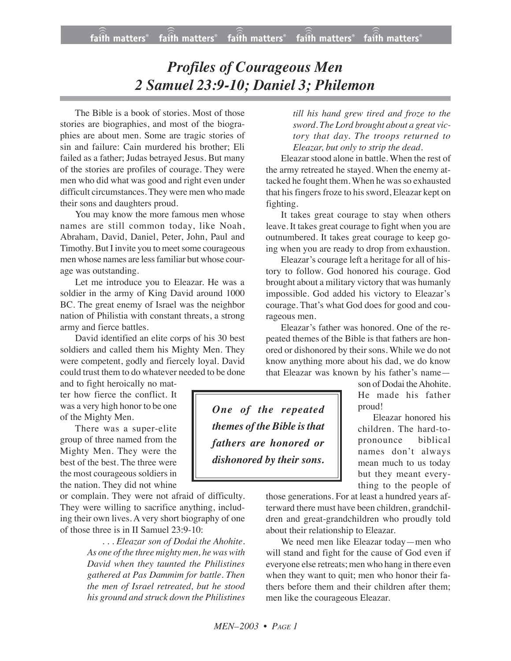## *Profiles of Courageous Men 2 Samuel 23:9-10; Daniel 3; Philemon*

The Bible is a book of stories. Most of those stories are biographies, and most of the biographies are about men. Some are tragic stories of sin and failure: Cain murdered his brother; Eli failed as a father; Judas betrayed Jesus. But many of the stories are profiles of courage. They were men who did what was good and right even under difficult circumstances. They were men who made their sons and daughters proud.

You may know the more famous men whose names are still common today, like Noah, Abraham, David, Daniel, Peter, John, Paul and Timothy. But I invite you to meet some courageous men whose names are lessfamiliar but whose courage was outstanding.

Let me introduce you to Eleazar. He was a soldier in the army of King David around 1000 BC. The great enemy of Israel was the neighbor nation of Philistia with constant threats, a strong army and fierce battles.

David identified an elite corps of his 30 best soldiers and called them his Mighty Men. They were competent, godly and fiercely loyal. David could trust them to do whatever needed to be done

and to fight heroically no matter how fierce the conflict. It was a very high honor to be one of the Mighty Men.

There was a super-elite group of three named from the Mighty Men. They were the best of the best. The three were the most courageous soldiers in the nation. They did not whine

or complain. They were not afraid of difficulty. They were willing to sacrifice anything, including their own lives. A very short biography of one of those three is in II Samuel 23:9-10:

> *. . . Eleazar son of Dodai the Ahohite. As one of the three mighty men, he was with David when they taunted the Philistines gathered at Pas Dammim for battle. Then the men of Israel retreated, but he stood his ground and struck down the Philistines*

*till his hand grew tired and froze to the sword. The Lord brought about a great victory that day. The troops returned to Eleazar, but only to strip the dead.*

Eleazar stood alone in battle. When the rest of the army retreated he stayed. When the enemy attacked he fought them. When he was so exhausted that his fingers froze to his sword, Eleazar kept on fighting.

It takes great courage to stay when others leave. It takes great courage to fight when you are outnumbered. It takes great courage to keep going when you are ready to drop from exhaustion.

Eleazar's courage left a heritage for all of history to follow. God honored his courage. God brought about a military victory that was humanly impossible. God added his victory to Eleazar's courage. That's what God does for good and courageous men.

Eleazar's father was honored. One of the repeated themes of the Bible is that fathers are honored or dishonored by their sons. While we do not know anything more about his dad, we do know that Eleazar was known by his father's name—

*One of the repeated themes of the Bible isthat fathers are honored or dishonored by their sons.*

son of Dodai the Ahohite. He made his father proud!

Eleazar honored his children. The hard-topronounce biblical names don't always mean much to us today but they meant everything to the people of

those generations. For at least a hundred years afterward there must have been children, grandchildren and great-grandchildren who proudly told about their relationship to Eleazar.

We need men like Eleazar today—men who will stand and fight for the cause of God even if everyone else retreats; men who hang in there even when they want to quit; men who honor their fathers before them and their children after them; men like the courageous Eleazar.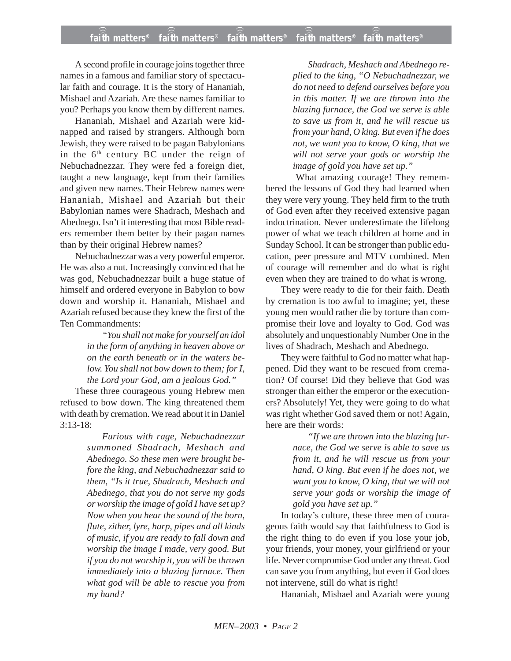A second profile in courage joins together three names in a famous and familiar story of spectacular faith and courage. It is the story of Hananiah, Mishael and Azariah. Are these names familiar to you? Perhaps you know them by different names.

Hananiah, Mishael and Azariah were kidnapped and raised by strangers. Although born Jewish, they were raised to be pagan Babylonians in the  $6<sup>th</sup>$  century BC under the reign of Nebuchadnezzar. They were fed a foreign diet, taught a new language, kept from their families and given new names. Their Hebrew names were Hananiah, Mishael and Azariah but their Babylonian names were Shadrach, Meshach and Abednego. Isn't it interesting that most Bible readers remember them better by their pagan names than by their original Hebrew names?

Nebuchadnezzar was a very powerful emperor. He was also a nut. Increasingly convinced that he was god, Nebuchadnezzar built a huge statue of himself and ordered everyone in Babylon to bow down and worship it. Hananiah, Mishael and Azariah refused because they knew the first of the Ten Commandments:

> *"You shall not make for yourself an idol in the form of anything in heaven above or on the earth beneath or in the waters below. You shall not bow down to them; for I, the Lord your God, am a jealous God."*

These three courageous young Hebrew men refused to bow down. The king threatened them with death by cremation. We read about it in Daniel 3:13-18:

> *Furious with rage, Nebuchadnezzar summoned Shadrach, Meshach and Abednego. So these men were brought before the king, and Nebuchadnezzar said to them, "Is it true, Shadrach, Meshach and Abednego, that you do not serve my gods or worship the image of gold I have set up? Now when you hear the sound of the horn, flute, zither, lyre, harp, pipes and all kinds of music, if you are ready to fall down and worship the image I made, very good. But if you do not worship it, you will be thrown immediately into a blazing furnace. Then what god will be able to rescue you from my hand?*

*Shadrach, Meshach and Abednego replied to the king, "O Nebuchadnezzar, we do not need to defend ourselves before you in this matter. If we are thrown into the blazing furnace, the God we serve is able to save us from it, and he will rescue us from your hand, O king. But even if he does not, we want you to know, O king, that we will not serve your gods or worship the image of gold you have set up."*

What amazing courage! They remembered the lessons of God they had learned when they were very young. They held firm to the truth of God even after they received extensive pagan indoctrination. Never underestimate the lifelong power of what we teach children at home and in Sunday School. It can be stronger than public education, peer pressure and MTV combined. Men of courage will remember and do what is right even when they are trained to do what is wrong.

They were ready to die for their faith. Death by cremation is too awful to imagine; yet, these young men would rather die by torture than compromise their love and loyalty to God. God was absolutely and unquestionably Number One in the lives of Shadrach, Meshach and Abednego.

They were faithful to God no matter what happened. Did they want to be rescued from cremation? Of course! Did they believe that God was stronger than either the emperor or the executioners? Absolutely! Yet, they were going to do what was right whether God saved them or not! Again, here are their words:

> *"If we are thrown into the blazing furnace, the God we serve is able to save us from it, and he will rescue us from your hand, O king. But even if he does not, we want you to know, O king, that we will not serve your gods or worship the image of gold you have set up."*

In today's culture, these three men of courageous faith would say that faithfulness to God is the right thing to do even if you lose your job, your friends, your money, your girlfriend or your life. Never compromise God under any threat. God can save you from anything, but even if God does not intervene, still do what is right!

Hananiah, Mishael and Azariah were young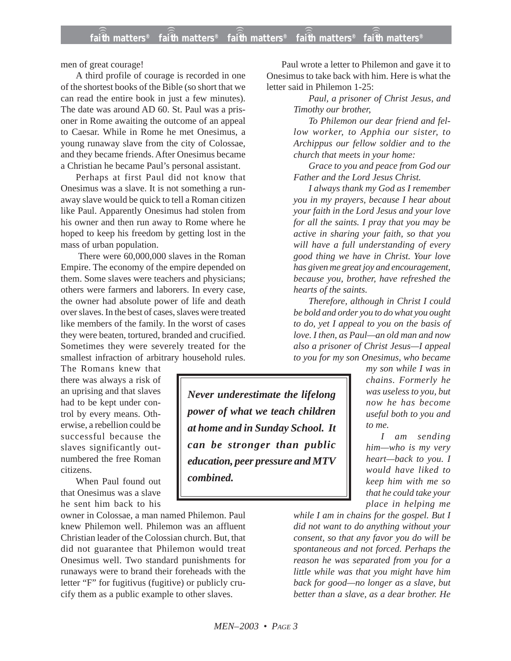men of great courage!

A third profile of courage is recorded in one of the shortest books of the Bible (so short that we can read the entire book in just a few minutes). The date was around AD 60. St. Paul was a prisoner in Rome awaiting the outcome of an appeal to Caesar. While in Rome he met Onesimus, a young runaway slave from the city of Colossae, and they became friends. After Onesimus became a Christian he became Paul's personal assistant.

Perhaps at first Paul did not know that Onesimus was a slave. It is not something a runaway slave would be quick to tell a Roman citizen like Paul. Apparently Onesimus had stolen from his owner and then run away to Rome where he hoped to keep his freedom by getting lost in the mass of urban population.

There were 60,000,000 slaves in the Roman Empire. The economy of the empire depended on them. Some slaves were teachers and physicians; others were farmers and laborers. In every case, the owner had absolute power of life and death over slaves. In the best of cases, slaves were treated like members of the family. In the worst of cases they were beaten, tortured, branded and crucified. Sometimes they were severely treated for the smallest infraction of arbitrary household rules.

The Romans knew that there was always a risk of an uprising and that slaves had to be kept under control by every means. Otherwise, a rebellion could be successful because the slaves significantly outnumbered the free Roman citizens.

When Paul found out that Onesimus was a slave he sent him back to his

owner in Colossae, a man named Philemon. Paul knew Philemon well. Philemon was an affluent Christian leader of the Colossian church. But, that did not guarantee that Philemon would treat Onesimus well. Two standard punishments for runaways were to brand their foreheads with the letter "F" for fugitivus (fugitive) or publicly crucify them as a public example to other slaves.

Paul wrote a letter to Philemon and gave it to Onesimus to take back with him. Here is what the letter said in Philemon 1-25:

> *Paul, a prisoner of Christ Jesus, and Timothy our brother,*

*To Philemon our dear friend and fellow worker, to Apphia our sister, to Archippus our fellow soldier and to the church that meets in your home:*

*Grace to you and peace from God our Father and the Lord Jesus Christ.*

*I always thank my God as I remember you in my prayers, because I hear about your faith in the Lord Jesus and your love for all the saints. I pray that you may be active in sharing your faith, so that you will have a full understanding of every good thing we have in Christ. Your love has given me great joy and encouragement, because you, brother, have refreshed the hearts of the saints.*

*Therefore, although in Christ I could be bold and order you to do what you ought to do, yet I appeal to you on the basis of love. I then, as Paul—an old man and now also a prisoner of Christ Jesus—I appeal to you for my son Onesimus, who became*

*Never underestimate the lifelong power of what we teach children at home and in Sunday School. It can be stronger than public education, peer pressure and MTV combined.*

*my son while I was in chains. Formerly he was useless to you, but now he has become useful both to you and to me.*

*I am sending him—who is my very heart—back to you. I would have liked to keep him with me so that he could take your place in helping me*

*while I am in chains for the gospel. But I did not want to do anything without your consent, so that any favor you do will be spontaneous and not forced. Perhaps the reason he was separated from you for a little while was that you might have him back for good—no longer as a slave, but better than a slave, as a dear brother. He*